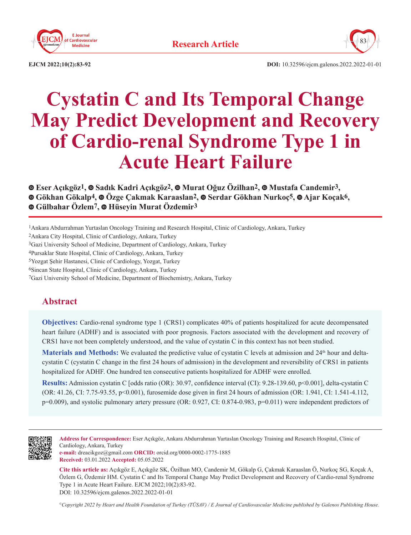



**EJCM 2022;10(2):83-92 DOI:** 10.32596/ejcm.galenos.2022.2022-01-01

# **Cystatin C and Its Temporal Change May Predict Development and Recovery of Cardio-renal Syndrome Type 1 in Acute Heart Failure**

**Eser Açıkgöz1, [S](https://orcid.org/0000-0001-8241-4642)adık Kadri Açıkgöz2,Murat Oğuz Özilhan2,Mustafa Candemir3, Gökhan Gökalp4,Özge Çakmak Karaaslan2, Serdar Gökhan Nurkoç5,Ajar Koçak6, Gülbahar Özlem7,Hüseyin Murat Özdemir3**

1Ankara Abdurrahman Yurtaslan Oncology Training and Research Hospital, Clinic of Cardiology, Ankara, Turkey

2Ankara City Hospital, Clinic of Cardiology, Ankara, Turkey

3Gazi University School of Medicine, Department of Cardiology, Ankara, Turkey

4Pursaklar State Hospital, Clinic of Cardiology, Ankara, Turkey

5Yozgat Şehir Hastanesi, Clinic of Cardiology, Yozgat, Turkey

6Sincan State Hospital, Clinic of Cardiology, Ankara, Turkey

7Gazi University School of Medicine, Department of Biochemistry, Ankara, Turkey

# **Abstract**

**Objectives:** Cardio-renal syndrome type 1 (CRS1) complicates 40% of patients hospitalized for acute decompensated heart failure (ADHF) and is associated with poor prognosis. Factors associated with the development and recovery of CRS1 have not been completely understood, and the value of cystatin C in this context has not been studied.

**Materials and Methods:** We evaluated the predictive value of cystatin C levels at admission and  $24<sup>th</sup>$  hour and deltacystatin C (cystatin C change in the first 24 hours of admission) in the development and reversibility of CRS1 in patients hospitalized for ADHF. One hundred ten consecutive patients hospitalized for ADHF were enrolled.

**Results:** Admission cystatin C [odds ratio (OR): 30.97, confidence interval (CI): 9.28-139.60, p<0.001], delta-cystatin C (OR: 41.26, CI: 7.75-93.55, p<0.001), furosemide dose given in first 24 hours of admission (OR: 1.941, CI: 1.541-4.112, p=0.009), and systolic pulmonary artery pressure (OR: 0.927, CI: 0.874-0.983, p=0.011) were independent predictors of



**Address for Correspondence:** Eser Açıkgöz, Ankara Abdurrahman Yurtaslan Oncology Training and Research Hospital, Clinic of Cardiology, Ankara, Turkey

**e-mail:** dreacikgoz@gmail.com **ORCID:** orcid.org/0000-0002-1775-1885 **Received:** 03.01.2022 **Accepted:** 05.05.2022

**Cite this article as:** Açıkgöz E, Açıkgöz SK, Özilhan MO, Candemir M, Gökalp G, Çakmak Karaaslan Ö, Nurkoç SG, Koçak A, Özlem G, Özdemir HM. Cystatin C and Its Temporal Change May Predict Development and Recovery of Cardio-renal Syndrome Type 1 in Acute Heart Failure. EJCM 2022;10(2):83-92. DOI: 10.32596/ejcm.galenos.2022.2022-01-01

*©Copyright 2022 by Heart and Health Foundation of Turkey (TÜSAV) / E Journal of Cardiovascular Medicine published by Galenos Publishing House.*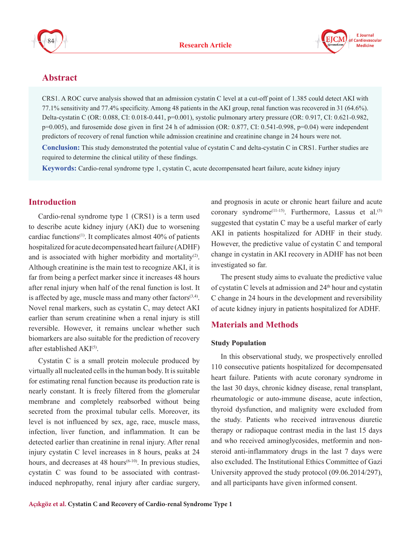



# **Abstract**

CRS1. A ROC curve analysis showed that an admission cystatin C level at a cut-off point of 1.385 could detect AKI with 77.1% sensitivity and 77.4% specificity. Among 48 patients in the AKI group, renal function was recovered in 31 (64.6%). Delta-cystatin C (OR: 0.088, CI: 0.018-0.441, p=0.001), systolic pulmonary artery pressure (OR: 0.917, CI: 0.621-0.982, p=0.005), and furosemide dose given in first 24 h of admission (OR: 0.877, CI: 0.541-0.998, p=0.04) were independent predictors of recovery of renal function while admission creatinine and creatinine change in 24 hours were not.

**Conclusion:** This study demonstrated the potential value of cystatin C and delta-cystatin C in CRS1. Further studies are required to determine the clinical utility of these findings.

**Keywords:** Cardio-renal syndrome type 1, cystatin C, acute decompensated heart failure, acute kidney injury

# **Introduction**

Cardio-renal syndrome type 1 (CRS1) is a term used to describe acute kidney injury (AKI) due to worsening cardiac functions<sup> $(1)$ </sup>. It complicates almost  $40\%$  of patients hospitalized for acute decompensated heart failure (ADHF) and is associated with higher morbidity and mortality<sup>(2)</sup>. Although creatinine is the main test to recognize AKI, it is far from being a perfect marker since it increases 48 hours after renal injury when half of the renal function is lost. It is affected by age, muscle mass and many other factors $(3,4)$ . Novel renal markers, such as cystatin C, may detect AKI earlier than serum creatinine when a renal injury is still reversible. However, it remains unclear whether such biomarkers are also suitable for the prediction of recovery after established AKI<sup>(5)</sup>.

Cystatin C is a small protein molecule produced by virtually all nucleated cells in the human body. It is suitable for estimating renal function because its production rate is nearly constant. It is freely filtered from the glomerular membrane and completely reabsorbed without being secreted from the proximal tubular cells. Moreover, its level is not influenced by sex, age, race, muscle mass, infection, liver function, and inflammation. It can be detected earlier than creatinine in renal injury. After renal injury cystatin C level increases in 8 hours, peaks at 24 hours, and decreases at 48 hours<sup> $(6-10)$ </sup>. In previous studies, cystatin C was found to be associated with contrastinduced nephropathy, renal injury after cardiac surgery,

and prognosis in acute or chronic heart failure and acute coronary syndrome<sup>(11-15)</sup>. Furthermore, Lassus et al.<sup>(5)</sup> suggested that cystatin C may be a useful marker of early AKI in patients hospitalized for ADHF in their study. However, the predictive value of cystatin C and temporal change in cystatin in AKI recovery in ADHF has not been investigated so far.

The present study aims to evaluate the predictive value of cystatin C levels at admission and  $24<sup>th</sup>$  hour and cystatin C change in 24 hours in the development and reversibility of acute kidney injury in patients hospitalized for ADHF.

## **Materials and Methods**

#### **Study Population**

In this observational study, we prospectively enrolled 110 consecutive patients hospitalized for decompensated heart failure. Patients with acute coronary syndrome in the last 30 days, chronic kidney disease, renal transplant, rheumatologic or auto-immune disease, acute infection, thyroid dysfunction, and malignity were excluded from the study. Patients who received intravenous diuretic therapy or radiopaque contrast media in the last 15 days and who received aminoglycosides, metformin and nonsteroid anti-inflammatory drugs in the last 7 days were also excluded. The Institutional Ethics Committee of Gazi University approved the study protocol (09.06.2014/297), and all participants have given informed consent.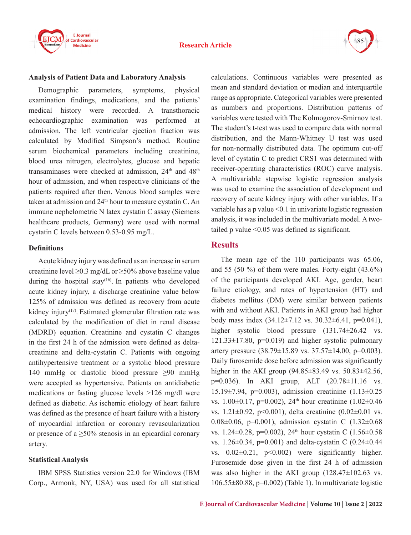



#### **Analysis of Patient Data and Laboratory Analysis**

Demographic parameters, symptoms, physical examination findings, medications, and the patients' medical history were recorded. A transthoracic echocardiographic examination was performed at admission. The left ventricular ejection fraction was calculated by Modified Simpson's method. Routine serum biochemical parameters including creatinine, blood urea nitrogen, electrolytes, glucose and hepatic transaminases were checked at admission,  $24<sup>th</sup>$  and  $48<sup>th</sup>$ hour of admission, and when respective clinicians of the patients required after then. Venous blood samples were taken at admission and  $24<sup>th</sup>$  hour to measure cystatin C. An immune nephelometric N latex cystatin C assay (Siemens healthcare products, Germany) were used with normal cystatin C levels between 0.53-0.95 mg/L.

#### **Definitions**

Acute kidney injury was defined as an increase in serum creatinine level  $\geq 0.3$  mg/dL or  $\geq 50\%$  above baseline value during the hospital stay<sup>(16)</sup>. In patients who developed acute kidney injury, a discharge creatinine value below 125% of admission was defined as recovery from acute kidney injury<sup> $(17)$ </sup>. Estimated glomerular filtration rate was calculated by the modification of diet in renal disease (MDRD) equation. Creatinine and cystatin C changes in the first 24 h of the admission were defined as deltacreatinine and delta-cystatin C. Patients with ongoing antihypertensive treatment or a systolic blood pressure 140 mmHg or diastolic blood pressure ≥90 mmHg were accepted as hypertensive. Patients on antidiabetic medications or fasting glucose levels >126 mg/dl were defined as diabetic. As ischemic etiology of heart failure was defined as the presence of heart failure with a history of myocardial infarction or coronary revascularization or presence of a  $\geq 50\%$  stenosis in an epicardial coronary artery.

#### **Statistical Analysis**

IBM SPSS Statistics version 22.0 for Windows (IBM Corp., Armonk, NY, USA) was used for all statistical calculations. Continuous variables were presented as mean and standard deviation or median and interquartile range as appropriate. Categorical variables were presented as numbers and proportions. Distribution patterns of variables were tested with The Kolmogorov-Smirnov test. The student's t-test was used to compare data with normal distribution, and the Mann-Whitney U test was used for non-normally distributed data. The optimum cut-off level of cystatin C to predict CRS1 was determined with receiver-operating characteristics (ROC) curve analysis. A multivariable stepwise logistic regression analysis was used to examine the association of development and recovery of acute kidney injury with other variables. If a variable has a p value <0.1 in univariate logistic regression analysis, it was included in the multivariate model. A twotailed p value <0.05 was defined as significant.

## **Results**

The mean age of the 110 participants was 65.06, and 55  $(50 \%)$  of them were males. Forty-eight  $(43.6\%)$ of the participants developed AKI. Age, gender, heart failure etiology, and rates of hypertension (HT) and diabetes mellitus (DM) were similar between patients with and without AKI. Patients in AKI group had higher body mass index  $(34.12 \pm 7.12 \text{ vs. } 30.32 \pm 6.41, \text{ p=0.041}),$ higher systolic blood pressure  $(131.74 \pm 26.42 \text{ vs.})$  $121.33\pm17.80$ ,  $p=0.019$ ) and higher systolic pulmonary artery pressure  $(38.79 \pm 15.89 \text{ vs. } 37.57 \pm 14.00 \text{ s} = 0.003)$ . Daily furosemide dose before admission was significantly higher in the AKI group (94.85±83.49 vs. 50.83±42.56, p=0.036). In AKI group, ALT (20.78±11.16 vs. 15.19±7.94, p=0.003), admission creatinine (1.13±0.25 vs. 1.00 $\pm$ 0.17, p=0.002), 24<sup>th</sup> hour creatinine (1.02 $\pm$ 0.46 vs. 1.21±0.92, p<0.001), delta creatinine (0.02±0.01 vs. 0.08±0.06, p=0.001), admission cystatin C (1.32±0.68 vs. 1.24 $\pm$ 0.28, p=0.002), 24<sup>th</sup> hour cystatin C (1.56 $\pm$ 0.58 vs. 1.26±0.34, p=0.001) and delta-cystatin C (0.24±0.44 vs.  $0.02\pm0.21$ ,  $p<0.002$ ) were significantly higher. Furosemide dose given in the first 24 h of admission was also higher in the AKI group (128.47 $\pm$ 102.63 vs.  $106.55\pm80.88$ , p=0.002) (Table 1). In multivariate logistic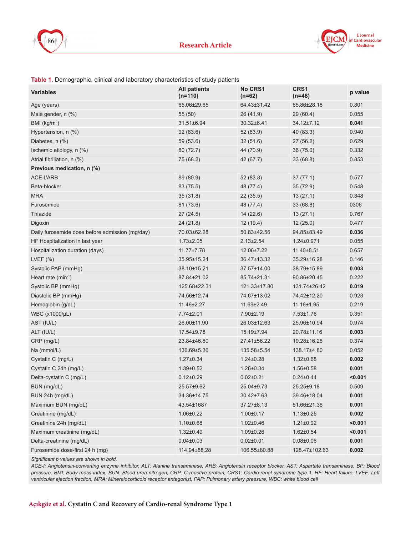



#### **Table 1.** Demographic, clinical and laboratory characteristics of study patients

| <b>Variables</b>                                | <b>All patients</b><br>$(n=110)$ | <b>No CRS1</b><br>$(n=62)$ | CRS1<br>$(n=48)$ | p value |
|-------------------------------------------------|----------------------------------|----------------------------|------------------|---------|
| Age (years)                                     | 65.06±29.65                      | 64.43±31.42                | 65.86±28.18      | 0.801   |
| Male gender, n (%)                              | 55 (50)                          | 26 (41.9)                  | 29(60.4)         | 0.055   |
| BMI $(kg/m2)$                                   | 31.51±6.94                       | 30.32±6.41                 | 34.12±7.12       | 0.041   |
| Hypertension, n (%)                             | 92(83.6)                         | 52 (83.9)                  | 40 (83.3)        | 0.940   |
| Diabetes, n (%)                                 | 59 (53.6)                        | 32(51.6)                   | 27(56.2)         | 0.629   |
| Ischemic etiology, n (%)                        | 80 (72.7)                        | 44 (70.9)                  | 36(75.0)         | 0.332   |
| Atrial fibrillation, n (%)                      | 75 (68.2)                        | 42 (67.7)                  | 33(68.8)         | 0.853   |
| Previous medication, n (%)                      |                                  |                            |                  |         |
| ACE-I/ARB                                       | 89 (80.9)                        | 52 (83.8)                  | 37(77.1)         | 0.577   |
| Beta-blocker                                    | 83 (75.5)                        | 48 (77.4)                  | 35(72.9)         | 0.548   |
| <b>MRA</b>                                      | 35(31.8)                         | 22(35.5)                   | 13(27.1)         | 0.348   |
| Furosemide                                      | 81 (73.6)                        | 48 (77.4)                  | 33(68.8)         | 0306    |
| Thiazide                                        | 27(24.5)                         | 14(22.6)                   | 13(27.1)         | 0.767   |
| Digoxin                                         | 24(21.8)                         | 12(19.4)                   | 12(25.0)         | 0.477   |
| Daily furosemide dose before admission (mg/day) | 70.03±62.28                      | 50.83±42.56                | 94.85±83.49      | 0.036   |
| HF Hospitalization in last year                 | $1.73 \pm 2.05$                  | $2.13 \pm 2.54$            | $1.24 \pm 0.971$ | 0.055   |
| Hospitalization duration (days)                 | 11.77±7.78                       | 12.06±7.22                 | 11.40±8.51       | 0.657   |
| LVEF $(\% )$                                    | 35.95±15.24                      | 36.47±13.32                | 35.29±16.28      | 0.146   |
| Systolic PAP (mmHg)                             | 38.10±15.21                      | 37.57±14.00                | 38.79±15.89      | 0.003   |
| Heart rate $(min^{-1})$                         | 87.84±21.02                      | 85.74±21.31                | 90.86±20.45      | 0.222   |
| Systolic BP (mmHg)                              | 125.68±22.31                     | 121.33±17.80               | 131.74±26.42     | 0.019   |
| Diastolic BP (mmHg)                             | 74.56±12.74                      | 74.67±13.02                | 74.42±12.20      | 0.923   |
| Hemoglobin (g/dL)                               | 11.46±2.27                       | 11.69±2.49                 | 11.16±1.95       | 0.219   |
| WBC (x1000/µL)                                  | 7.74±2.01                        | 7.90±2.19                  | $7.53 \pm 1.76$  | 0.351   |
| AST (IU/L)                                      | 26.00±11.90                      | 26.03±12.63                | 25.96±10.94      | 0.974   |
| ALT (IU/L)                                      | 17.54±9.78                       | 15.19±7.94                 | 20.78±11.16      | 0.003   |
| CRP (mg/L)                                      | 23.84±46.80                      | 27.41±56.22                | 19.28±16.28      | 0.374   |
| Na (mmol/L)                                     | 136.69±5.36                      | 135.58±5.54                | 138.17±4.80      | 0.052   |
| Cystatin C (mg/L)                               | $1.27 \pm 0.34$                  | $1.24 \pm 0.28$            | $1.32 \pm 0.68$  | 0.002   |
| Cystatin C 24h (mg/L)                           | $1.39 \pm 0.52$                  | 1.26±0.34                  | $1.56 \pm 0.58$  | 0.001   |
| Delta-cystatin C (mg/L)                         | $0.12 \pm 0.29$                  | $0.02 \pm 0.21$            | $0.24 \pm 0.44$  | < 0.001 |
| BUN (mg/dL)                                     | 25.57±9.62                       | 25.04±9.73                 | 25.25±9.18       | 0.509   |
| BUN 24h (mg/dL)                                 | 34.36±14.75                      | 30.42±7.63                 | 39.46±18.04      | 0.001   |
| Maximum BUN (mg/dL)                             | 43.54±1687                       | 37.27±8.13                 | 51.66±21.36      | 0.001   |
| Creatinine (mg/dL)                              | $1.06 \pm 0.22$                  | $1.00 \pm 0.17$            | $1.13 \pm 0.25$  | 0.002   |
| Creatinine 24h (mg/dL)                          | $1,10\pm0.68$                    | $1.02 \pm 0.46$            | $1.21 \pm 0.92$  | < 0.001 |
| Maximum creatinine (mg/dL)                      | $1.32 \pm 0.49$                  | $1.09 \pm 0.26$            | $1.62 \pm 0.54$  | < 0.001 |
| Delta-creatinine (mg/dL)                        | $0.04 \pm 0.03$                  | $0.02 \pm 0.01$            | $0.08 \pm 0.06$  | 0.001   |
| Furosemide dose-first 24 h (mg)                 | 114.94±88.28                     | 106.55±80.88               | 128.47±102.63    | 0.002   |

*Significant p values are shown in bold.*

*ACE-I: Angiotensin-converting enzyme inhibitor, ALT: Alanine transaminase, ARB: Angiotensin receptor blocker, AST: Aspartate transaminase, BP: Blood pressure, BMI: Body mass index, BUN: Blood urea nitrogen, CRP: C-reactive protein, CRS1: Cardio-renal syndrome type 1, HF: Heart failure, LVEF: Left ventricular ejection fraction, MRA: Mineralocorticoid receptor antagonist, PAP: Pulmonary artery pressure, WBC: white blood cell*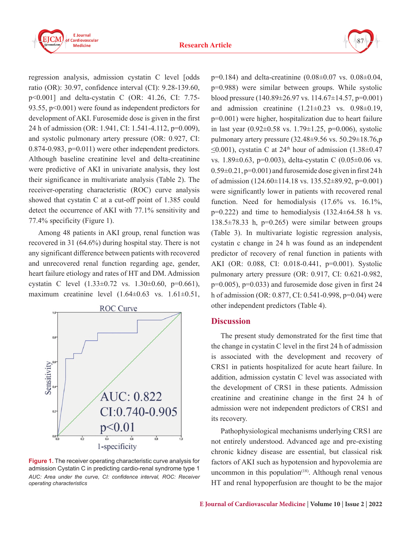



regression analysis, admission cystatin C level [odds ratio (OR): 30.97, confidence interval (CI): 9.28-139.60, p<0.001] and delta-cystatin C (OR: 41.26, CI: 7.75- 93.55, p<0.001) were found as independent predictors for development of AKI. Furosemide dose is given in the first 24 h of admission (OR: 1.941, CI: 1.541-4.112, p=0.009), and systolic pulmonary artery pressure (OR: 0.927, CI: 0.874-0.983, p=0.011) were other independent predictors. Although baseline creatinine level and delta-creatinine were predictive of AKI in univariate analysis, they lost their significance in multivariate analysis (Table 2). The receiver-operating characteristic (ROC) curve analysis showed that cystatin C at a cut-off point of 1.385 could detect the occurrence of AKI with 77.1% sensitivity and 77.4% specificity (Figure 1).

Among 48 patients in AKI group, renal function was recovered in 31 (64.6%) during hospital stay. There is not any significant difference between patients with recovered and unrecovered renal function regarding age, gender, heart failure etiology and rates of HT and DM. Admission cystatin C level (1.33±0.72 vs. 1.30±0.60, p=0.661), maximum creatinine level  $(1.64\pm0.63 \text{ vs. } 1.61\pm0.51,$ 



**Figure 1.** The receiver operating characteristic curve analysis for admission Cystatin C in predicting cardio-renal syndrome type 1 *AUC: Area under the curve, CI: confidence interval, ROC: Receiver operating characteristics*

p=0.184) and delta-creatinine (0.08±0.07 vs. 0.08±0.04, p=0.988) were similar between groups. While systolic blood pressure (140.89±26.97 vs. 114.67±14.57, p=0.001) and admission creatinine  $(1.21 \pm 0.23 \text{ vs. } 0.98 \pm 0.19)$ , p=0.001) were higher, hospitalization due to heart failure in last year  $(0.92 \pm 0.58 \text{ vs. } 1.79 \pm 1.25, \text{ p=0.006})$ , systolic pulmonary artery pressure  $(32.48\pm9.56 \text{ vs. } 50.29\pm18.76, \text{p})$  $\leq$ 0.001), cystatin C at 24<sup>th</sup> hour of admission (1.38±0.47 vs. 1.89±0.63, p=0.003), delta-cystatin C (0.05±0.06 vs.  $0.59\pm0.21$ ,  $p=0.001$ ) and furosemide dose given in first 24 h of admission (124.60±114.18 vs. 135.52±89.92, p=0.001) were significantly lower in patients with recovered renal function. Need for hemodialysis  $(17.6\%$  vs.  $16.1\%$ ,  $p=0.222$ ) and time to hemodialysis  $(132.4\pm64.58)$  h vs.  $138.5\pm78.33$  h, p=0.265) were similar between groups (Table 3). In multivariate logistic regression analysis, cystatin c change in 24 h was found as an independent predictor of recovery of renal function in patients with AKI (OR: 0.088, CI: 0.018-0.441, p=0.001). Systolic pulmonary artery pressure (OR: 0.917, CI: 0.621-0.982, p=0.005), p=0.033) and furosemide dose given in first 24 h of admission (OR: 0.877, CI: 0.541-0.998, p=0.04) were other independent predictors (Table 4).

## **Discussion**

The present study demonstrated for the first time that the change in cystatin C level in the first 24 h of admission is associated with the development and recovery of CRS1 in patients hospitalized for acute heart failure. In addition, admission cystatin C level was associated with the development of CRS1 in these patients. Admission creatinine and creatinine change in the first 24 h of admission were not independent predictors of CRS1 and its recovery.

Pathophysiological mechanisms underlying CRS1 are not entirely understood. Advanced age and pre-existing chronic kidney disease are essential, but classical risk factors of AKI such as hypotension and hypovolemia are uncommon in this population $(18)$ . Although renal venous HT and renal hypoperfusion are thought to be the major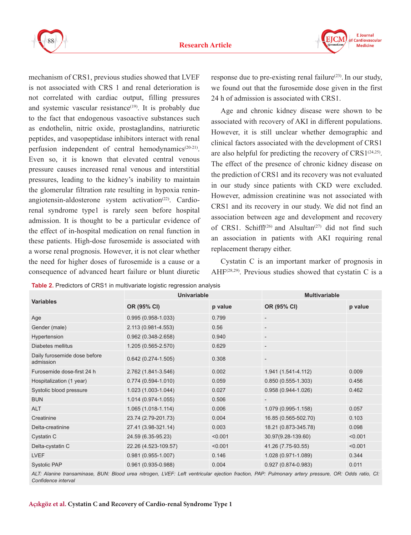



mechanism of CRS1, previous studies showed that LVEF is not associated with CRS 1 and renal deterioration is not correlated with cardiac output, filling pressures and systemic vascular resistance<sup> $(19)$ </sup>. It is probably due to the fact that endogenous vasoactive substances such as endothelin, nitric oxide, prostaglandins, natriuretic peptides, and vasopeptidase inhibitors interact with renal perfusion independent of central hemodynamics<sup>(20-21)</sup>. Even so, it is known that elevated central venous pressure causes increased renal venous and interstitial pressures, leading to the kidney's inability to maintain the glomerular filtration rate resulting in hypoxia reninangiotensin-aldosterone system activation<sup> $(22)$ </sup>. Cardiorenal syndrome type1 is rarely seen before hospital admission. It is thought to be a particular evidence of the effect of in-hospital medication on renal function in these patients. High-dose furosemide is associated with a worse renal prognosis. However, it is not clear whether the need for higher doses of furosemide is a cause or a consequence of advanced heart failure or blunt diuretic

response due to pre-existing renal failure<sup> $(23)$ </sup>. In our study, we found out that the furosemide dose given in the first 24 h of admission is associated with CRS1.

Age and chronic kidney disease were shown to be associated with recovery of AKI in different populations. However, it is still unclear whether demographic and clinical factors associated with the development of CRS1 are also helpful for predicting the recovery of  $CRS1<sup>(24,25)</sup>$ . The effect of the presence of chronic kidney disease on the prediction of CRS1 and its recovery was not evaluated in our study since patients with CKD were excluded. However, admission creatinine was not associated with CRS1 and its recovery in our study. We did not find an association between age and development and recovery of CRS1. Schiffl<sup>(26)</sup> and Alsultan<sup>(27)</sup> did not find such an association in patients with AKI requiring renal replacement therapy either.

Cystatin C is an important marker of prognosis in AHF<sup> $(28,29)$ </sup>. Previous studies showed that cystatin C is a

| <b>Table 2.</b> Predictors of CRS1 in multivariate logistic regression analysis |                        |                      |                        |         |
|---------------------------------------------------------------------------------|------------------------|----------------------|------------------------|---------|
| Variables                                                                       | <b>Univariable</b>     | <b>Multivariable</b> |                        |         |
|                                                                                 | OR (95% CI)            | p value              | OR (95% CI)            | p value |
| Age                                                                             | $0.995(0.958-1.033)$   | 0.799                |                        |         |
| Gender (male)                                                                   | 2.113 (0.981-4.553)    | 0.56                 |                        |         |
| Hypertension                                                                    | $0.962(0.348 - 2.658)$ | 0.940                |                        |         |
| Diabetes mellitus                                                               | 1.205 (0.565-2.570)    | 0.629                |                        |         |
| Daily furosemide dose before<br>admission                                       | $0.642(0.274-1.505)$   | 0.308                |                        |         |
| Furosemide dose-first 24 h                                                      | 2.762 (1.841-3.546)    | 0.002                | 1.941 (1.541-4.112)    | 0.009   |
| Hospitalization (1 year)                                                        | $0.774(0.594 - 1.010)$ | 0.059                | $0.850(0.555-1.303)$   | 0.456   |
| Systolic blood pressure                                                         | 1.023 (1.003-1.044)    | 0.027                | $0.958(0.944 - 1.026)$ | 0.462   |
| <b>BUN</b>                                                                      | 1.014 (0.974-1.055)    | 0.506                |                        |         |
| ALT                                                                             | 1.065 (1.018-1.114)    | 0.006                | 1.079 (0.995-1.158)    | 0.057   |
| Creatinine                                                                      | 23.74 (2.79-201.73)    | 0.004                | 16.85 (0.565-502.70)   | 0.103   |
| Delta-creatinine                                                                | 27.41 (3.98-321.14)    | 0.003                | 18.21 (0.873-345.78)   | 0.098   |
| Cystatin C                                                                      | 24.59 (6.35-95.23)     | < 0.001              | 30.97(9.28-139.60)     | < 0.001 |
| Delta-cystatin C                                                                | 22.26 (4.523-109.57)   | < 0.001              | 41.26 (7.75-93.55)     | < 0.001 |
| <b>LVEF</b>                                                                     | $0.981(0.955-1.007)$   | 0.146                | 1.028 (0.971-1.089)    | 0.344   |
| <b>Systolic PAP</b>                                                             | $0.961(0.935 - 0.988)$ | 0.004                | $0.927(0.874 - 0.983)$ | 0.011   |
|                                                                                 |                        |                      |                        |         |

**Table 2.** Predictors of CRS1 in multivariate logistic regression analysis

*ALT: Alanine transaminase, BUN: Blood urea nitrogen, LVEF: Left ventricular ejection fraction, PAP: Pulmonary artery pressure, OR: Odds ratio, CI: Confidence interval*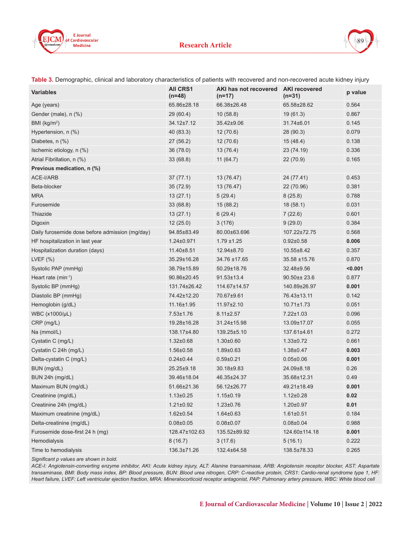



| Table 3. Demographic, clinical and laboratory characteristics of patients with recovered and non-recovered acute kidney injury |  |  |  |  |  |
|--------------------------------------------------------------------------------------------------------------------------------|--|--|--|--|--|
|--------------------------------------------------------------------------------------------------------------------------------|--|--|--|--|--|

| <b>Variables</b>                                | <b>AII CRS1</b><br>$(n=48)$ | AKI has not recovered AKI recovered<br>$(n=17)$ | $(n=31)$         | p value |
|-------------------------------------------------|-----------------------------|-------------------------------------------------|------------------|---------|
| Age (years)                                     | 65.86±28.18                 | 66.38±26.48                                     | 65.58±28.62      | 0.564   |
| Gender (male), n (%)                            | 29 (60.4)                   | 10(58.8)                                        | 19(61.3)         | 0.867   |
| BMI ( $kg/m2$ )                                 | 34.12±7.12                  | 35.42±9.06                                      | 31.74±6.01       | 0.145   |
| Hypertension, n (%)                             | 40 (83.3)                   | 12(70.6)                                        | 28 (90.3)        | 0.079   |
| Diabetes, n (%)                                 | 27(56.2)                    | 12(70.6)                                        | 15(48.4)         | 0.138   |
| Ischemic etiology, n (%)                        | 36 (78.0)                   | 13(76.4)                                        | 23 (74.19)       | 0.336   |
| Atrial Fibrillation, n (%)                      | 33(68.8)                    | 11(64.7)                                        | 22(70.9)         | 0.165   |
| Previous medication, n (%)                      |                             |                                                 |                  |         |
| <b>ACE-I/ARB</b>                                | 37(77.1)                    | 13 (76.47)                                      | 24 (77.41)       | 0.453   |
| Beta-blocker                                    | 35(72.9)                    | 13 (76.47)                                      | 22 (70.96)       | 0.381   |
| <b>MRA</b>                                      | 13(27.1)                    | 5(29.4)                                         | 8(25.8)          | 0.788   |
| Furosemide                                      | 33(68.8)                    | 15(88.2)                                        | 18(58.1)         | 0.031   |
| Thiazide                                        | 13(27.1)                    | 6(29.4)                                         | 7(22.6)          | 0.601   |
| Digoxin                                         | 12(25.0)                    | 3(176)                                          | 9(29.0)          | 0.384   |
| Daily furosemide dose before admission (mg/day) | 94.85±83.49                 | 80.00±63.696                                    | 107.22±72.75     | 0.568   |
| HF hospitalization in last year                 | $1.24 \pm 0.971$            | $1.79 + 1.25$                                   | $0.92 \pm 0.58$  | 0.006   |
| Hospitalization duration (days)                 | 11.40±8.51                  | 12.94±8.70                                      | $10.55 \pm 8.42$ | 0.357   |
| LVEF $(%)$                                      | 35.29±16.28                 | 34.76 ±17.65                                    | 35.58 ±15.76     | 0.870   |
| Systolic PAP (mmHg)                             | 38.79±15.89                 | 50.29±18.76                                     | 32.48±9.56       | < 0.001 |
| Heart rate $(min^{-1})$                         | 90.86±20.45                 | $91.53 \pm 13.4$                                | $90.50 + 23.6$   | 0.877   |
| Systolic BP (mmHg)                              | 131.74±26.42                | 114.67±14.57                                    | 140.89±26.97     | 0.001   |
| Diastolic BP (mmHg)                             | 74.42±12.20                 | 70.67±9.61                                      | 76.43±13.11      | 0.142   |
| Hemoglobin (g/dL)                               | 11.16±1.95                  | 11.97±2.10                                      | $10.71 \pm 1.73$ | 0.051   |
| WBC (x1000/µL)                                  | $7.53 \pm 1.76$             | $8.11 \pm 2.57$                                 | 7.22±1.03        | 0.096   |
| CRP (mg/L)                                      | 19.28±16.28                 | 31.24±15.98                                     | 13.09±17.07      | 0.055   |
| Na (mmol/L)                                     | 138.17±4.80                 | 139.25±5.10                                     | 137.61±4.61      | 0.272   |
| Cystatin C (mg/L)                               | $1.32 \pm 0.68$             | $1.30 \pm 0.60$                                 | $1.33 \pm 0.72$  | 0.661   |
| Cystatin C 24h (mg/L)                           | $1.56 \pm 0.58$             | $1.89 \pm 0.63$                                 | $1.38 \pm 0.47$  | 0.003   |
| Delta-cystatin C (mg/L)                         | $0.24 \pm 0.44$             | $0.59 \pm 0.21$                                 | $0.05 \pm 0.06$  | 0.001   |
| BUN (mg/dL)                                     | 25.25±9.18                  | 30.18±9.83                                      | 24.09±8.18       | 0.26    |
| BUN 24h (mg/dL)                                 | 39.46±18.04                 | 46.35±24.37                                     | 35.68±12.31      | 0.49    |
| Maximum BUN (mg/dL)                             | 51.66±21.36                 | 56.12±26.77                                     | 49.21±18.49      | 0.001   |
| Creatinine (mg/dL)                              | $1.13 \pm 0.25$             | $1.15 \pm 0.19$                                 | $1.12 \pm 0.28$  | 0.02    |
| Creatinine 24h (mg/dL)                          | $1.21 \pm 0.92$             | $1.23 \pm 0.76$                                 | $1.20 \pm 0.97$  | 0.01    |
| Maximum creatinine (mq/dL)                      | $1.62 \pm 0.54$             | $1.64 \pm 0.63$                                 | $1.61 \pm 0.51$  | 0.184   |
| Delta-creatinine (mg/dL)                        | $0.08 \pm 0.05$             | $0.08 + 0.07$                                   | $0.08 \pm 0.04$  | 0.988   |
| Furosemide dose-first 24 h (mg)                 | 128.47±102.63               | 135.52±89.92                                    | 124.60±114.18    | 0.001   |
| Hemodialysis                                    | 8(16.7)                     | 3(17.6)                                         | 5(16.1)          | 0.222   |
| Time to hemodialysis                            | 136.3±71.26                 | 132.4±64.58                                     | 138.5±78.33      | 0.265   |

*Significant p values are shown in bold.*

*ACE-I: Angiotensin-converting enzyme inhibitor, AKI: Acute kidney injury, ALT: Alanine transaminase, ARB: Angiotensin receptor blocker, AST: Aspartate transaminase, BMI: Body mass index, BP: Blood pressure, BUN: Blood urea nitrogen, CRP: C-reactive protein, CRS1: Cardio-renal syndrome type 1, HF: Heart failure, LVEF: Left ventricular ejection fraction, MRA: Mineralocorticoid receptor antagonist, PAP: Pulmonary artery pressure, WBC: White blood cell*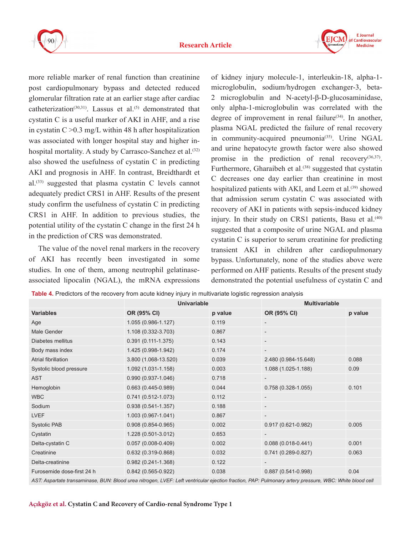



more reliable marker of renal function than creatinine post cardiopulmonary bypass and detected reduced glomerular filtration rate at an earlier stage after cardiac catheterization<sup>(30,31)</sup>. Lassus et al.<sup>(5)</sup> demonstrated that cystatin C is a useful marker of AKI in AHF, and a rise in cystatin  $C > 0.3$  mg/L within 48 h after hospitalization was associated with longer hospital stay and higher inhospital mortality. A study by Carrasco-Sanchez et al.<sup>(32)</sup> also showed the usefulness of cystatin C in predicting AKI and prognosis in AHF. In contrast, Breidthardt et al.<sup> $(33)$ </sup> suggested that plasma cystatin C levels cannot adequately predict CRS1 in AHF. Results of the present study confirm the usefulness of cystatin C in predicting CRS1 in AHF. In addition to previous studies, the potential utility of the cystatin C change in the first 24 h in the prediction of CRS was demonstrated.

The value of the novel renal markers in the recovery of AKI has recently been investigated in some studies. In one of them, among neutrophil gelatinaseassociated lipocalin (NGAL), the mRNA expressions

of kidney injury molecule-1, interleukin-18, alpha-1 microglobulin, sodium/hydrogen exchanger-3, beta-2 microglobulin and N-acetyl-β-D-glucosaminidase, only alpha-1-microglobulin was correlated with the degree of improvement in renal failure<sup> $(34)$ </sup>. In another, plasma NGAL predicted the failure of renal recovery in community-acquired pneumonia<sup>(35)</sup>. Urine NGAL and urine hepatocyte growth factor were also showed promise in the prediction of renal recovery<sup>(36,37)</sup>. Furthermore, Gharaibeh et al. $(38)$  suggested that cystatin C decreases one day earlier than creatinine in most hospitalized patients with AKI, and Leem et al.<sup>(39)</sup> showed that admission serum cystatin C was associated with recovery of AKI in patients with sepsis-induced kidney injury. In their study on CRS1 patients, Basu et al.<sup>(40)</sup> suggested that a composite of urine NGAL and plasma cystatin C is superior to serum creatinine for predicting transient AKI in children after cardiopulmonary bypass. Unfortunately, none of the studies above were performed on AHF patients. Results of the present study demonstrated the potential usefulness of cystatin C and

| Table 4. Predictors of the recovery from acute kidney injury in multivariate logistic regression analysis |
|-----------------------------------------------------------------------------------------------------------|
|-----------------------------------------------------------------------------------------------------------|

|                            | <b>Univariable</b>     |         | <b>Multivariable</b>     |         |
|----------------------------|------------------------|---------|--------------------------|---------|
| <b>Variables</b>           | OR (95% CI)            | p value | OR (95% CI)              | p value |
| Age                        | 1.055 (0.986-1.127)    | 0.119   |                          |         |
| Male Gender                | 1.108 (0.332-3.703)    | 0.867   | $\overline{\phantom{a}}$ |         |
| Diabetes mellitus          | $0.391(0.111-1.375)$   | 0.143   | $\overline{\phantom{a}}$ |         |
| Body mass index            | 1.425 (0.998-1.942)    | 0.174   | $\overline{\phantom{a}}$ |         |
| Atrial fibrillation        | 3.800 (1.068-13.520)   | 0.039   | 2.480 (0.984-15.648)     | 0.088   |
| Systolic blood pressure    | 1.092 (1.031-1.158)    | 0.003   | 1.088 (1.025-1.188)      | 0.09    |
| <b>AST</b>                 | $0.990(0.937-1.046)$   | 0.718   |                          |         |
| Hemoglobin                 | $0.663(0.445-0.989)$   | 0.044   | $0.758(0.328-1.055)$     | 0.101   |
| <b>WBC</b>                 | $0.741(0.512 - 1.073)$ | 0.112   | $\overline{\phantom{a}}$ |         |
| Sodium                     | $0.938(0.541-1.357)$   | 0.188   | $\overline{\phantom{a}}$ |         |
| <b>LVEF</b>                | 1.003 (0.967-1.041)    | 0.867   |                          |         |
| <b>Systolic PAB</b>        | $0.908(0.854 - 0.965)$ | 0.002   | $0.917(0.621 - 0.982)$   | 0.005   |
| Cystatin                   | 1.228 (0.501-3.012)    | 0.653   |                          |         |
| Delta-cystatin C           | $0.057(0.008-0.409)$   | 0.002   | $0.088(0.018-0.441)$     | 0.001   |
| Creatinine                 | $0.632(0.319-0.868)$   | 0.032   | $0.741(0.289 - 0.827)$   | 0.063   |
| Delta-creatinine           | $0.982(0.241-1.368)$   | 0.122   |                          |         |
| Furosemide dose-first 24 h | $0.842(0.565 - 0.922)$ | 0.038   | 0.887 (0.541-0.998)      | 0.04    |

*AST: Aspartate transaminase, BUN: Blood urea nitrogen, LVEF: Left ventricular ejection fraction, PAP: Pulmonary artery pressure, WBC: White blood cell*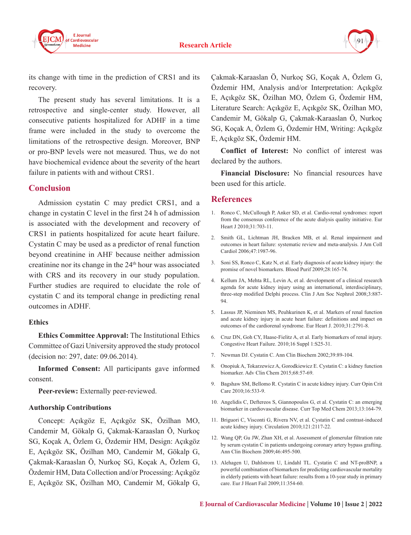



its change with time in the prediction of CRS1 and its recovery.

The present study has several limitations. It is a retrospective and single-center study. However, all consecutive patients hospitalized for ADHF in a time frame were included in the study to overcome the limitations of the retrospective design. Moreover, BNP or pro-BNP levels were not measured. Thus, we do not have biochemical evidence about the severity of the heart failure in patients with and without CRS1.

### **Conclusion**

Admission cystatin C may predict CRS1, and a change in cystatin C level in the first 24 h of admission is associated with the development and recovery of CRS1 in patients hospitalized for acute heart failure. Cystatin C may be used as a predictor of renal function beyond creatinine in AHF because neither admission creatinine nor its change in the 24th hour was associated with CRS and its recovery in our study population. Further studies are required to elucidate the role of cystatin C and its temporal change in predicting renal outcomes in ADHF.

#### **Ethics**

**Ethics Committee Approval:** The Institutional Ethics Committee of Gazi University approved the study protocol (decision no: 297, date: 09.06.2014).

**Informed Consent:** All participants gave informed consent.

**Peer-review:** Externally peer-reviewed.

#### **Authorship Contributions**

Concept: Açıkgöz E, Açıkgöz SK, Özilhan MO, Candemir M, Gökalp G, Çakmak-Karaaslan Ö, Nurkoç SG, Koçak A, Özlem G, Özdemir HM, Design: Açıkgöz E, Açıkgöz SK, Özilhan MO, Candemir M, Gökalp G, Çakmak-Karaaslan Ö, Nurkoç SG, Koçak A, Özlem G, Özdemir HM, Data Collection and/or Processing: Açıkgöz E, Açıkgöz SK, Özilhan MO, Candemir M, Gökalp G,

Çakmak-Karaaslan Ö, Nurkoç SG, Koçak A, Özlem G, Özdemir HM, Analysis and/or Interpretation: Açıkgöz E, Açıkgöz SK, Özilhan MO, Özlem G, Özdemir HM, Literature Search: Açıkgöz E, Açıkgöz SK, Özilhan MO, Candemir M, Gökalp G, Çakmak-Karaaslan Ö, Nurkoç SG, Koçak A, Özlem G, Özdemir HM, Writing: Açıkgöz E, Açıkgöz SK, Özdemir HM.

**Conflict of Interest:** No conflict of interest was declared by the authors.

**Financial Disclosure:** No financial resources have been used for this article.

#### **References**

- 1. Ronco C, McCullough P, Anker SD, et al. Cardio-renal syndromes: report from the consensus conference of the acute dialysis quality initiative. Eur Heart J 2010;31:703-11.
- 2. Smith GL, Lichtman JH, Bracken MB, et al. Renal impairment and outcomes in heart failure: systematic review and meta-analysis. J Am Coll Cardiol 2006;47:1987-96.
- 3. Soni SS, Ronco C, Katz N, et al. Early diagnosis of acute kidney injury: the promise of novel biomarkers. Blood Purif 2009;28:165-74.
- 4. Kellum JA, Mehta RL, Levin A, et al. development of a clinical research agenda for acute kidney injury using an international, interdisciplinary, three-step modified Delphi process. Clin J Am Soc Nephrol 2008;3:887- 94.
- 5. Lassus JP, Nieminen MS, Peuhkurinen K, et al. Markers of renal function and acute kidney injury in acute heart failure: definitions and impact on outcomes of the cardiorenal syndrome. Eur Heart J. 2010;31:2791-8.
- 6. Cruz DN, Goh CY, Haase-Fielitz A, et al. Early biomarkers of renal injury. Congestive Heart Failure. 2010;16 Suppl 1:S25-31.
- 7. Newman DJ. Cystatin C. Ann Clin Biochem 2002;39:89-104.
- 8. Onopiuk A, Tokarzewicz A, Gorodkiewicz E. Cystatin C: a kidney function biomarker. Adv Clin Chem 2015;68:57-69.
- 9. Bagshaw SM, Bellomo R. Cystatin C in acute kidney injury. Curr Opin Crit Care 2010;16:533-9.
- 10. Angelidis C, Deftereos S, Giannopoulos G, et al. Cystatin C: an emerging biomarker in cardiovascular disease. Curr Top Med Chem 2013;13:164-79.
- 11. Briguori C, Visconti G, Rivera NV, et al. Cystatin C and contrast-induced acute kidney injury. Circulation 2010;121:2117-22.
- 12. Wang QP, Gu JW, Zhan XH, et al. Assessment of glomerular filtration rate by serum cystatin C in patients undergoing coronary artery bypass grafting. Ann Clin Biochem 2009;46:495-500.
- 13. Alehagen U, Dahlstrom U, Lindahl TL. Cystatin C and NT-proBNP, a powerful combination of biomarkers for predicting cardiovascular mortality in elderly patients with heart failure: results from a 10-year study in primary care. Eur J Heart Fail 2009;11:354-60.